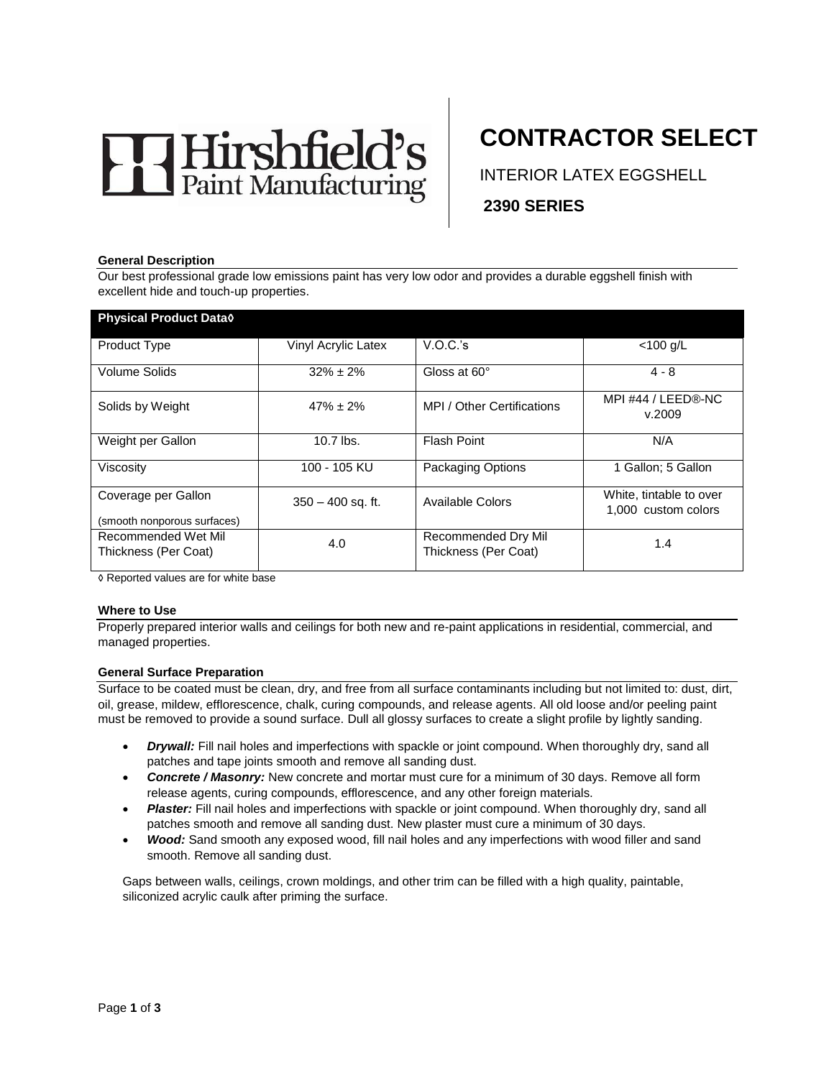# Hirshfield's

# **CONTRACTOR SELECT**

INTERIOR LATEX EGGSHELL **2390 SERIES** 

#### **General Description**

Our best professional grade low emissions paint has very low odor and provides a durable eggshell finish with excellent hide and touch-up properties.

| <b>Physical Product Datao</b>                      |                     |                                             |                                                |
|----------------------------------------------------|---------------------|---------------------------------------------|------------------------------------------------|
| <b>Product Type</b>                                | Vinyl Acrylic Latex | V.O.C.'s                                    | $<$ 100 g/L                                    |
| Volume Solids                                      | $32\% \pm 2\%$      | Gloss at 60°                                | $4 - 8$                                        |
| Solids by Weight                                   | $47\% \pm 2\%$      | MPI / Other Certifications                  | MPI #44 / LEED®-NC<br>v.2009                   |
| Weight per Gallon                                  | $10.7$ lbs.         | <b>Flash Point</b>                          | N/A                                            |
| Viscosity                                          | 100 - 105 KU        | <b>Packaging Options</b>                    | 1 Gallon; 5 Gallon                             |
| Coverage per Gallon<br>(smooth nonporous surfaces) | $350 - 400$ sq. ft. | Available Colors                            | White, tintable to over<br>1,000 custom colors |
| Recommended Wet Mil<br>Thickness (Per Coat)        | 4.0                 | Recommended Dry Mil<br>Thickness (Per Coat) | 1.4                                            |

◊ Reported values are for white base

#### **Where to Use**

Properly prepared interior walls and ceilings for both new and re-paint applications in residential, commercial, and managed properties.

#### **General Surface Preparation**

Surface to be coated must be clean, dry, and free from all surface contaminants including but not limited to: dust, dirt, oil, grease, mildew, efflorescence, chalk, curing compounds, and release agents. All old loose and/or peeling paint must be removed to provide a sound surface. Dull all glossy surfaces to create a slight profile by lightly sanding.

- *Drywall:* Fill nail holes and imperfections with spackle or joint compound. When thoroughly dry, sand all patches and tape joints smooth and remove all sanding dust.
- *Concrete / Masonry:* New concrete and mortar must cure for a minimum of 30 days. Remove all form release agents, curing compounds, efflorescence, and any other foreign materials.
- **Plaster:** Fill nail holes and imperfections with spackle or joint compound. When thoroughly dry, sand all patches smooth and remove all sanding dust. New plaster must cure a minimum of 30 days.
- *Wood:* Sand smooth any exposed wood, fill nail holes and any imperfections with wood filler and sand smooth. Remove all sanding dust.

Gaps between walls, ceilings, crown moldings, and other trim can be filled with a high quality, paintable, siliconized acrylic caulk after priming the surface.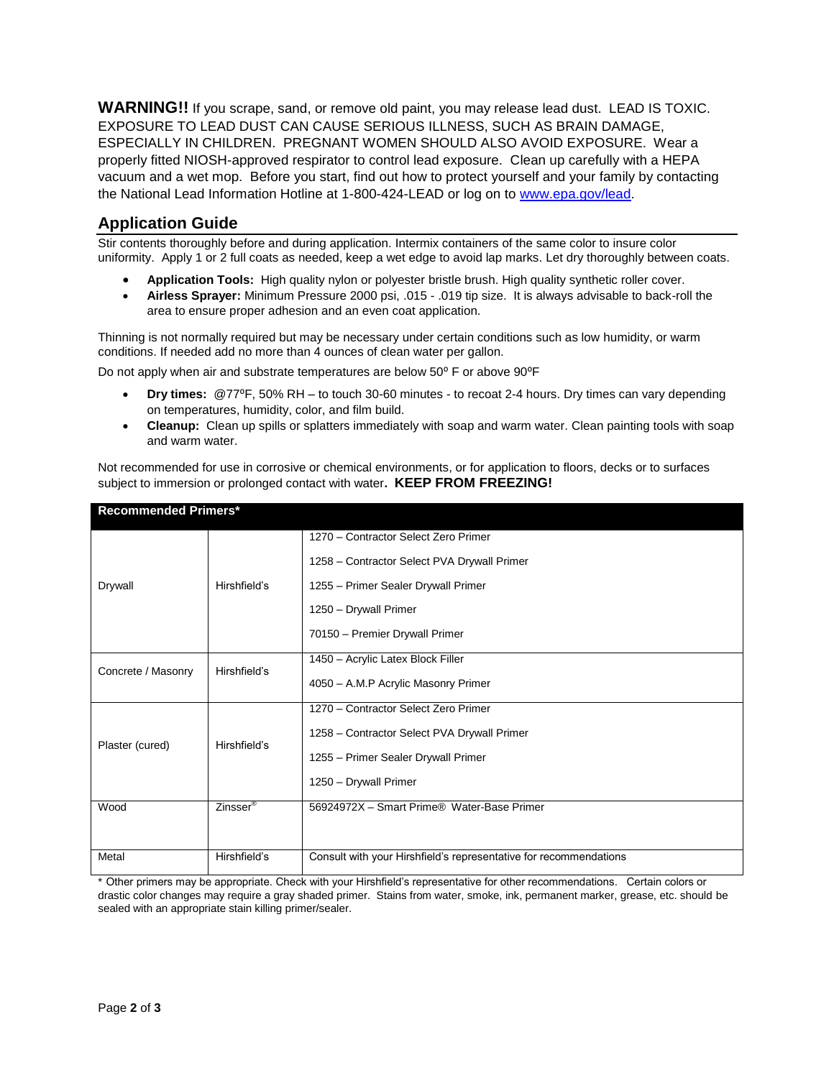**WARNING!!** If you scrape, sand, or remove old paint, you may release lead dust. LEAD IS TOXIC. EXPOSURE TO LEAD DUST CAN CAUSE SERIOUS ILLNESS, SUCH AS BRAIN DAMAGE, ESPECIALLY IN CHILDREN. PREGNANT WOMEN SHOULD ALSO AVOID EXPOSURE. Wear a properly fitted NIOSH-approved respirator to control lead exposure. Clean up carefully with a HEPA vacuum and a wet mop. Before you start, find out how to protect yourself and your family by contacting the National Lead Information Hotline at 1-800-424-LEAD or log on to [www.epa.gov/lead.](http://www.epa.gov/lead)

# **Application Guide**

Stir contents thoroughly before and during application. Intermix containers of the same color to insure color uniformity. Apply 1 or 2 full coats as needed, keep a wet edge to avoid lap marks. Let dry thoroughly between coats.

- **Application Tools:** High quality nylon or polyester bristle brush. High quality synthetic roller cover.
- **Airless Sprayer:** Minimum Pressure 2000 psi, .015 .019 tip size. It is always advisable to back-roll the area to ensure proper adhesion and an even coat application.

Thinning is not normally required but may be necessary under certain conditions such as low humidity, or warm conditions. If needed add no more than 4 ounces of clean water per gallon.

Do not apply when air and substrate temperatures are below 50° F or above 90°F

- **Dry times:** @77⁰F, 50% RH to touch 30-60 minutes to recoat 2-4 hours. Dry times can vary depending on temperatures, humidity, color, and film build.
- **Cleanup:** Clean up spills or splatters immediately with soap and warm water. Clean painting tools with soap and warm water.

Not recommended for use in corrosive or chemical environments, or for application to floors, decks or to surfaces subject to immersion or prolonged contact with water**. KEEP FROM FREEZING!**

| <b>Recommended Primers*</b> |                      |                                                                   |  |
|-----------------------------|----------------------|-------------------------------------------------------------------|--|
| Drywall                     | Hirshfield's         | 1270 - Contractor Select Zero Primer                              |  |
|                             |                      | 1258 - Contractor Select PVA Drywall Primer                       |  |
|                             |                      | 1255 - Primer Sealer Drywall Primer                               |  |
|                             |                      | 1250 - Drywall Primer                                             |  |
|                             |                      | 70150 - Premier Drywall Primer                                    |  |
| Concrete / Masonry          | Hirshfield's         | 1450 - Acrylic Latex Block Filler                                 |  |
|                             |                      | 4050 - A.M.P Acrylic Masonry Primer                               |  |
| Plaster (cured)             | Hirshfield's         | 1270 - Contractor Select Zero Primer                              |  |
|                             |                      | 1258 - Contractor Select PVA Drywall Primer                       |  |
|                             |                      | 1255 - Primer Sealer Drywall Primer                               |  |
|                             |                      | 1250 - Drywall Primer                                             |  |
| Wood                        | Zinsser <sup>®</sup> | 56924972X - Smart Prime® Water-Base Primer                        |  |
|                             |                      |                                                                   |  |
| Metal                       | Hirshfield's         | Consult with your Hirshfield's representative for recommendations |  |

\* Other primers may be appropriate. Check with your Hirshfield's representative for other recommendations. Certain colors or drastic color changes may require a gray shaded primer. Stains from water, smoke, ink, permanent marker, grease, etc. should be sealed with an appropriate stain killing primer/sealer.